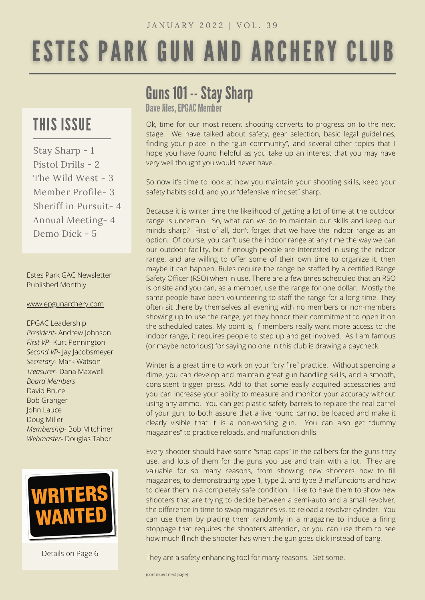# **ESTES PARK GUN AND ARCHERY CLUB**

### THIS ISSUE

Stay Sharp - 1 Pistol Drills - 2 The Wild West - 3 Member Profile- 3 Sheriff in Pursuit- 4 Annual Meeting- 4 Demo Dick - 5

Estes Park GAC Newsletter Published Monthly

#### [www.epgunarchery.com](http://www.epgunarchery.com/)

EPGAC Leadership *President-* Andrew Johnson *First VP-* Kurt Pennington *Second VP-* Jay Jacobsmeyer *Secretary-* Mark Watson *Treasurer-* Dana Maxwell *Board Members* David Bruce Bob Granger John Lauce Doug Miller *Membership-* Bob Mitchiner *Webmaster-* Douglas Tabor



Details on Page 6

### Guns 101 -- Stay Sharp

Dave Jiles, EPGAC Member

Ok, time for our most recent shooting converts to progress on to the next stage. We have talked about safety, gear selection, basic legal guidelines, finding your place in the "gun community", and several other topics that I hope you have found helpful as you take up an interest that you may have very well thought you would never have.

So now it's time to look at how you maintain your shooting skills, keep your safety habits solid, and your "defensive mindset" sharp.

Because it is winter time the likelihood of getting a lot of time at the outdoor range is uncertain. So, what can we do to maintain our skills and keep our minds sharp? First of all, don't forget that we have the indoor range as an option. Of course, you can't use the indoor range at any time the way we can our outdoor facility, but if enough people are interested in using the indoor range, and are willing to offer some of their own time to organize it, then maybe it can happen. Rules require the range be staffed by a certified Range Safety Officer (RSO) when in use. There are a few times scheduled that an RSO is onsite and you can, as a member, use the range for one dollar. Mostly the same people have been volunteering to staff the range for a long time. They often sit there by themselves all evening with no members or non-members showing up to use the range, yet they honor their commitment to open it on the scheduled dates. My point is, if members really want more access to the indoor range, it requires people to step up and get involved. As I am famous (or maybe notorious) for saying no one in this club is drawing a paycheck.

Winter is a great time to work on your "dry fire" practice. Without spending a dime, you can develop and maintain great gun handling skills, and a smooth, consistent trigger press. Add to that some easily acquired accessories and you can increase your ability to measure and monitor your accuracy without using any ammo. You can get plastic safety barrels to replace the real barrel of your gun, to both assure that a live round cannot be loaded and make it clearly visible that it is a non-working gun. You can also get "dummy magazines" to practice reloads, and malfunction drills.

Every shooter should have some "snap caps" in the calibers for the guns they use, and lots of them for the guns you use and train with a lot. They are valuable for so many reasons, from showing new shooters how to fill magazines, to demonstrating type 1, type 2, and type 3 malfunctions and how to clear them in a completely safe condition. I like to have them to show new shooters that are trying to decide between a semi-auto and a small revolver, the difference in time to swap magazines vs. to reload a revolver cylinder. You can use them by placing them randomly in a magazine to induce a firing stoppage that requires the shooters attention, or you can use them to see how much flinch the shooter has when the gun goes click instead of bang.

They are a safety enhancing tool for many reasons. Get some.

(continued next page)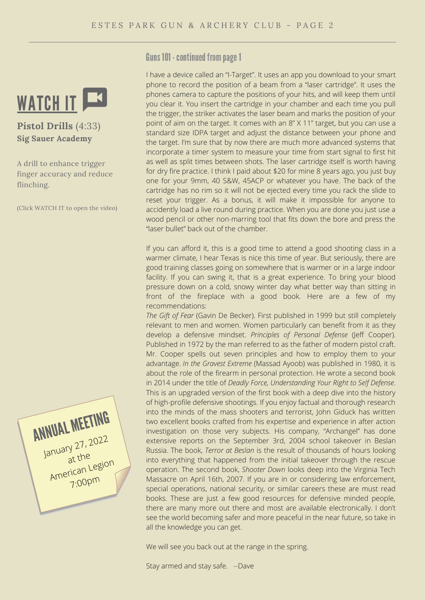

**Pistol Drills** (4:33) **Sig Sauer Academy**

A drill to enhance trigger finger accuracy and reduce flinching.

(Click WATCH IT to open the video)



Guns 101 - continued from page 1

I have a device called an "I-Target". It uses an app you download to your smart phone to record the position of a beam from a "laser cartridge". It uses the phones camera to capture the positions of your hits, and will keep them until you clear it. You insert the cartridge in your chamber and each time you pull the trigger, the striker activates the laser beam and marks the position of your point of aim on the target. It comes with an 8" X 11" target, but you can use a standard size IDPA target and adjust the distance between your phone and the target. I'm sure that by now there are much more advanced systems that incorporate a timer system to measure your time from start signal to first hit as well as split times between shots. The laser cartridge itself is worth having for dry fire practice. I think I paid about \$20 for mine 8 years ago, you just buy one for your 9mm, 40 S&W, 45ACP or whatever you have. The back of the cartridge has no rim so it will not be ejected every time you rack the slide to reset your trigger. As a bonus, it will make it impossible for anyone to accidently load a live round during practice. When you are done you just use a wood pencil or other non-marring tool that fits down the bore and press the "laser bullet" back out of the chamber.

If you can afford it, this is a good time to attend a good shooting class in a warmer climate, I hear Texas is nice this time of year. But seriously, there are good training classes going on somewhere that is warmer or in a large indoor facility. If you can swing it, that is a great experience. To bring your blood pressure down on a cold, snowy winter day what better way than sitting in front of the fireplace with a good book. Here are a few of my recommendations:

*The Gift of Fear* (Gavin De Becker). First published in 1999 but still completely relevant to men and women. Women particularly can benefit from it as they develop a defensive mindset. *Principles of Personal Defense* (Jeff Cooper). Published in 1972 by the man referred to as the father of modern pistol craft. Mr. Cooper spells out seven principles and how to employ them to your advantage. *In the Gravest Extreme* (Massad Ayoob) was published in 1980, it is about the role of the firearm in personal protection. He wrote a second book in 2014 under the title of *Deadly Force, Understanding Your Right to Self Defense*. This is an upgraded version of the first book with a deep dive into the history of high-profile defensive shootings. If you enjoy factual and thorough research into the minds of the mass shooters and terrorist, John Giduck has written two excellent books crafted from his expertise and experience in after action investigation on those very subjects. His company, "Archangel" has done extensive reports on the September 3rd, 2004 school takeover in Beslan Russia. The book, *Terror at Beslan* is the result of thousands of hours looking into everything that happened from the initial takeover through the rescue operation. The second book, *Shooter Down* looks deep into the Virginia Tech Massacre on April 16th, 2007. If you are in or considering law enforcement, special operations, national security, or similar careers these are must read books. These are just a few good resources for defensive minded people, there are many more out there and most are available electronically. I don't see the world becoming safer and more peaceful in the near future, so take in all the knowledge you can get.

We will see you back out at the range in the spring.

Stay armed and stay safe. --Dave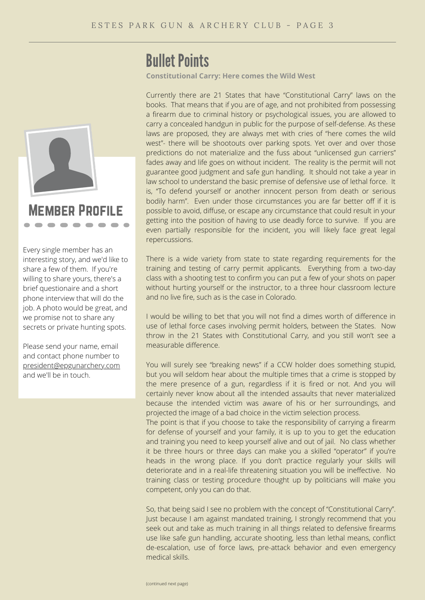

Every single member has an interesting story, and we'd like to share a few of them. If you're willing to share yours, there's a brief questionaire and a short phone interview that will do the job. A photo would be great, and we promise not to share any secrets or private hunting spots.

Please send your name, email and contact phone number to [president@epgunarchery.com](mailto:president@epgunarchery.com) and we'll be in touch.

### **Bullet Points**

**Constitutional Carry: Here comes the Wild West**

Currently there are 21 States that have "Constitutional Carry" laws on the books. That means that if you are of age, and not prohibited from possessing a firearm due to criminal history or psychological issues, you are allowed to carry a concealed handgun in public for the purpose of self-defense. As these laws are proposed, they are always met with cries of "here comes the wild west"- there will be shootouts over parking spots. Yet over and over those predictions do not materialize and the fuss about "unlicensed gun carriers" fades away and life goes on without incident. The reality is the permit will not guarantee good judgment and safe gun handling. It should not take a year in law school to understand the basic premise of defensive use of lethal force. It is, "To defend yourself or another innocent person from death or serious bodily harm". Even under those circumstances you are far better off if it is possible to avoid, diffuse, or escape any circumstance that could result in your getting into the position of having to use deadly force to survive. If you are even partially responsible for the incident, you will likely face great legal repercussions.

There is a wide variety from state to state regarding requirements for the training and testing of carry permit applicants. Everything from a two-day class with a shooting test to confirm you can put a few of your shots on paper without hurting yourself or the instructor, to a three hour classroom lecture and no live fire, such as is the case in Colorado.

I would be willing to bet that you will not find a dimes worth of difference in use of lethal force cases involving permit holders, between the States. Now throw in the 21 States with Constitutional Carry, and you still won't see a measurable difference.

You will surely see "breaking news" if a CCW holder does something stupid, but you will seldom hear about the multiple times that a crime is stopped by the mere presence of a gun, regardless if it is fired or not. And you will certainly never know about all the intended assaults that never materialized because the intended victim was aware of his or her surroundings, and projected the image of a bad choice in the victim selection process.

The point is that if you choose to take the responsibility of carrying a firearm for defense of yourself and your family, it is up to you to get the education and training you need to keep yourself alive and out of jail. No class whether it be three hours or three days can make you a skilled "operator" if you're heads in the wrong place. If you don't practice regularly your skills will deteriorate and in a real-life threatening situation you will be ineffective. No training class or testing procedure thought up by politicians will make you competent, only you can do that.

So, that being said I see no problem with the concept of "Constitutional Carry". Just because I am against mandated training, I strongly recommend that you seek out and take as much training in all things related to defensive firearms use like safe gun handling, accurate shooting, less than lethal means, conflict de-escalation, use of force laws, pre-attack behavior and even emergency medical skills.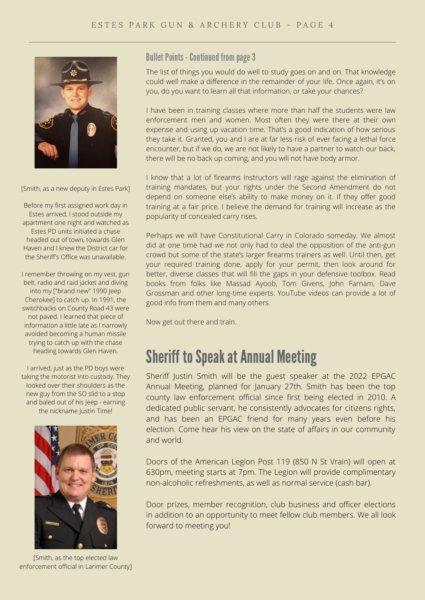

[Smith, as a new deputy in Estes Park]

Before my first assigned work day in Estes arrived, I stood outside my apartment one night and watched as Estes PD units initiated a chase headed out of town, towards Glen Haven and I knew the District car for the Sheriff's Office was unavailable.

I remember throwing on my vest, gun belt, radio and raid jacket and diving into my ["brand new" 1990 Jeep Cherokee] to catch up. In 1991, the switchbacks on County Road 43 were not paved. I learned that piece of information a little late as I narrowly avoided becoming a human missile trying to catch up with the chase heading towards Glen Haven.

I arrived, just as the PD boys were taking the motorist into custody. They looked over their shoulders as the new guy from the SO slid to a stop and baled out of his Jeep - earning the nickname Justin Time!



[Smith, as the top elected law enforcement official in Larimer County]

#### **Bullet Points - Continued from page 3**

The list of things you would do well to study goes on and on. That knowledge could well make a difference in the remainder of your life. Once again, it's on you, do you want to learn all that information, or take your chances?

I have been in training classes where more than half the students were law enforcement men and women. Most often they were there at their own expense and using up vacation time. That's a good indication of how serious they take it. Granted, you and I are at far less risk of ever facing a lethal force encounter, but if we do, we are not likely to have a partner to watch our back, there will be no back up coming, and you will not have body armor.

I know that a lot of firearms instructors will rage against the elimination of training mandates, but your rights under the Second Amendment do not depend on someone else's ability to make money on it. If they offer good training at a fair price, I believe the demand for training will increase as the popularity of concealed carry rises.

Perhaps we will have Constitutional Carry in Colorado someday. We almost did at one time had we not only had to deal the opposition of the anti-gun crowd but some of the state's larger firearms trainers as well. Until then, get your required training done, apply for your permit, then look around for better, diverse classes that will fill the gaps in your defensive toolbox. Read books from folks like Massad Ayoob, Tom Givens, John Farnam, Dave Grossman and other long-time experts. YouTube videos can provide a lot of good info from them and many others.

Now get out there and train.

### **Sheriff to Speak at Annual Meeting**

Sheriff Justin Smith will be the guest speaker at the 2022 EPGAC Annual Meeting, planned for January 27th. Smith has been the top county law enforcement official since first being elected in 2010. A dedicated public servant, he consistently advocates for citizens rights, and has been an EPGAC friend for many years even before his election. Come hear his view on the state of affairs in our community and world.

Doors of the American Legion Post 119 (850 N St Vrain) will open at 630pm, meeting starts at 7pm. The Legion will provide complimentary non-alcoholic refreshments, as well as normal service (cash bar).

Door prizes, member recognition, club business and officer elections in addition to an opportunity to meet fellow club members. We all look forward to meeting you!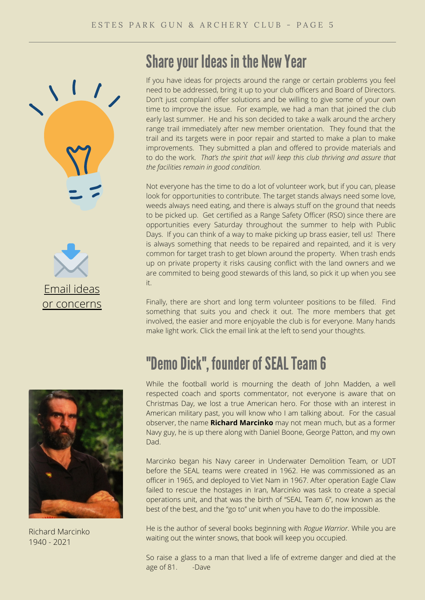





Richard Marcinko 1940 - 2021

### Share your Ideas in the New Year

If you have ideas for projects around the range or certain problems you feel need to be addressed, bring it up to your club officers and Board of Directors. Don't just complain! offer solutions and be willing to give some of your own time to improve the issue. For example, we had a man that joined the club early last summer. He and his son decided to take a walk around the archery range trail immediately after new member orientation. They found that the trail and its targets were in poor repair and started to make a plan to make improvements. They submitted a plan and offered to provide materials and to do the work. *That's the spirit that will keep this club thriving and assure that the facilities remain in good condition.*

Not everyone has the time to do a lot of volunteer work, but if you can, please look for opportunities to contribute. The target stands always need some love, weeds always need eating, and there is always stuff on the ground that needs to be picked up. Get certified as a Range Safety Officer (RSO) since there are opportunities every Saturday throughout the summer to help with Public Days. If you can think of a way to make picking up brass easier, tell us! There is always something that needs to be repaired and repainted, and it is very common for target trash to get blown around the property. When trash ends up on private property it risks causing conflict with the land owners and we are commited to being good stewards of this land, so pick it up when you see it.

Finally, there are short and long term volunteer positions to be filled. Find something that suits you and check it out. The more members that get involved, the easier and more enjoyable the club is for everyone. Many hands make light work. Click the email link at the left to send your thoughts.

## "Demo Dick", founder of SEAL Team 6

While the football world is mourning the death of John Madden, a well respected coach and sports commentator, not everyone is aware that on Christmas Day, we lost a true American hero. For those with an interest in American military past, you will know who I am talking about. For the casual observer, the name **Richard Marcinko** may not mean much, but as a former Navy guy, he is up there along with Daniel Boone, George Patton, and my own Dad.

Marcinko began his Navy career in Underwater Demolition Team, or UDT before the SEAL teams were created in 1962. He was commissioned as an officer in 1965, and deployed to Viet Nam in 1967. After operation Eagle Claw failed to rescue the hostages in Iran, Marcinko was task to create a special operations unit, and that was the birth of "SEAL Team 6", now known as the best of the best, and the "go to" unit when you have to do the impossible.

He is the author of several books beginning with *Rogue Warrior*. While you are waiting out the winter snows, that book will keep you occupied.

So raise a glass to a man that lived a life of extreme danger and died at the age of 81. -Dave